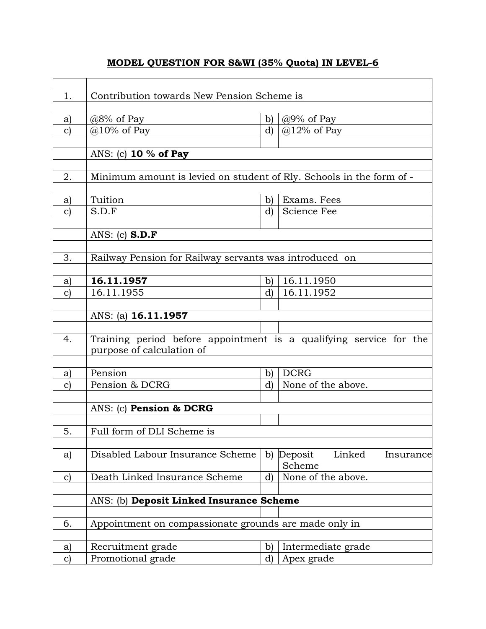## **MODEL QUESTION FOR S&WI (35% Quota) IN LEVEL-6**

| 1.            | Contribution towards New Pension Scheme is                           |              |                                |  |  |  |  |
|---------------|----------------------------------------------------------------------|--------------|--------------------------------|--|--|--|--|
|               |                                                                      |              |                                |  |  |  |  |
| a)            | $@8\%$ of Pay                                                        | b)           | $@9\%$ of Pay                  |  |  |  |  |
| $\mathbf{C}$  | $@10\%$ of Pay                                                       | $\mathbf{d}$ | $@12\%$ of Pay                 |  |  |  |  |
|               |                                                                      |              |                                |  |  |  |  |
|               | ANS: (c) 10 % of Pay                                                 |              |                                |  |  |  |  |
|               |                                                                      |              |                                |  |  |  |  |
| 2.            | Minimum amount is levied on student of Rly. Schools in the form of - |              |                                |  |  |  |  |
|               |                                                                      |              |                                |  |  |  |  |
| a)            | Tuition                                                              | $\mathbf{b}$ | Exams. Fees                    |  |  |  |  |
| $\mathbf{C}$  | S.D.F                                                                | d)           | Science Fee                    |  |  |  |  |
|               |                                                                      |              |                                |  |  |  |  |
|               | ANS: (c) $S.D.F$                                                     |              |                                |  |  |  |  |
|               |                                                                      |              |                                |  |  |  |  |
| 3.            | Railway Pension for Railway servants was introduced on               |              |                                |  |  |  |  |
|               |                                                                      |              |                                |  |  |  |  |
| a)            | 16.11.1957                                                           | b)           | 16.11.1950                     |  |  |  |  |
| $\mathbf{C}$  | 16.11.1955                                                           | d)           | 16.11.1952                     |  |  |  |  |
|               |                                                                      |              |                                |  |  |  |  |
|               | ANS: (a) 16.11.1957                                                  |              |                                |  |  |  |  |
|               |                                                                      |              |                                |  |  |  |  |
| 4.            | Training period before appointment is a qualifying service for the   |              |                                |  |  |  |  |
|               | purpose of calculation of                                            |              |                                |  |  |  |  |
|               |                                                                      |              |                                |  |  |  |  |
| a)            | Pension                                                              | b)           | <b>DCRG</b>                    |  |  |  |  |
| $\mathbf{c}$  | Pension & DCRG                                                       | d)           | None of the above.             |  |  |  |  |
|               |                                                                      |              |                                |  |  |  |  |
|               | ANS: (c) Pension & DCRG                                              |              |                                |  |  |  |  |
|               |                                                                      |              |                                |  |  |  |  |
| 5.            | Full form of DLI Scheme is                                           |              |                                |  |  |  |  |
|               |                                                                      |              |                                |  |  |  |  |
| a)            | Disabled Labour Insurance Scheme                                     | $\mathbf{b}$ | Linked<br>Deposit<br>Insurance |  |  |  |  |
|               |                                                                      |              | Scheme                         |  |  |  |  |
| $\mathbf{c}$  | Death Linked Insurance Scheme                                        | d)           | None of the above.             |  |  |  |  |
|               |                                                                      |              |                                |  |  |  |  |
|               | ANS: (b) Deposit Linked Insurance Scheme                             |              |                                |  |  |  |  |
|               |                                                                      |              |                                |  |  |  |  |
| 6.            | Appointment on compassionate grounds are made only in                |              |                                |  |  |  |  |
|               |                                                                      |              |                                |  |  |  |  |
| a)            | Recruitment grade                                                    | b)           | Intermediate grade             |  |  |  |  |
| $\mathbf{c})$ | Promotional grade                                                    | d)           | Apex grade                     |  |  |  |  |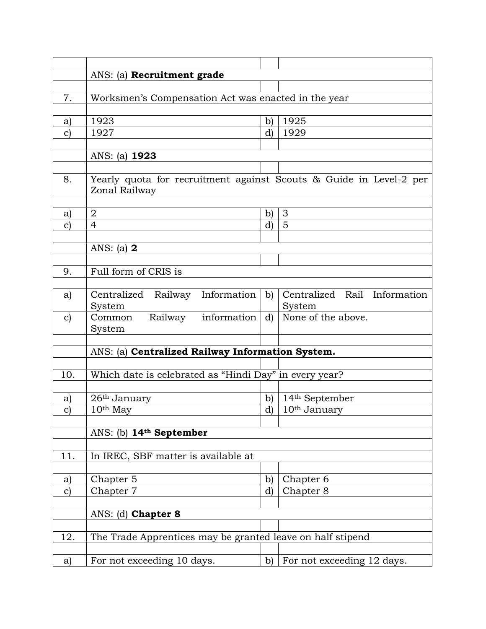|                     | ANS: (a) Recruitment grade                                                          |                              |                                        |  |  |  |
|---------------------|-------------------------------------------------------------------------------------|------------------------------|----------------------------------------|--|--|--|
|                     |                                                                                     |                              |                                        |  |  |  |
| 7.                  | Worksmen's Compensation Act was enacted in the year                                 |                              |                                        |  |  |  |
|                     |                                                                                     |                              |                                        |  |  |  |
| a)                  | 1923                                                                                | $\mathbf{b}$                 | 1925                                   |  |  |  |
| $\mathbf{c})$       | 1927                                                                                | d)                           | 1929                                   |  |  |  |
|                     |                                                                                     |                              |                                        |  |  |  |
|                     | ANS: (a) <b>1923</b>                                                                |                              |                                        |  |  |  |
|                     |                                                                                     |                              |                                        |  |  |  |
| 8.                  | Yearly quota for recruitment against Scouts & Guide in Level-2 per<br>Zonal Railway |                              |                                        |  |  |  |
|                     | $\boldsymbol{2}$                                                                    |                              | 3                                      |  |  |  |
| a)<br>$\mathbf{c})$ | $\overline{4}$                                                                      | $\mathbf{b}$<br>$\mathbf{d}$ | 5                                      |  |  |  |
|                     |                                                                                     |                              |                                        |  |  |  |
|                     | ANS: (a) $2$                                                                        |                              |                                        |  |  |  |
|                     |                                                                                     |                              |                                        |  |  |  |
| 9.                  | Full form of CRIS is                                                                |                              |                                        |  |  |  |
|                     |                                                                                     |                              |                                        |  |  |  |
| a)                  | Centralized Railway Information<br>System                                           | $\mathbf{b}$                 | Centralized Rail Information<br>System |  |  |  |
| $\mathbf{c})$       | Railway information<br>Common<br>System                                             | d)                           | None of the above.                     |  |  |  |
|                     |                                                                                     |                              |                                        |  |  |  |
|                     | ANS: (a) Centralized Railway Information System.                                    |                              |                                        |  |  |  |
|                     |                                                                                     |                              |                                        |  |  |  |
| 10.                 | Which date is celebrated as "Hindi Day" in every year?                              |                              |                                        |  |  |  |
|                     |                                                                                     |                              |                                        |  |  |  |
| a)                  | $26th$ January<br>$10th$ May                                                        | $\mathbf{b}$<br>$\mathbf{d}$ | $14th$ September<br>$10th$ January     |  |  |  |
| $\mathbf{C}$        |                                                                                     |                              |                                        |  |  |  |
|                     | ANS: (b) 14th September                                                             |                              |                                        |  |  |  |
|                     |                                                                                     |                              |                                        |  |  |  |
| 11.                 | In IREC, SBF matter is available at                                                 |                              |                                        |  |  |  |
|                     |                                                                                     |                              |                                        |  |  |  |
| a)                  | Chapter 5                                                                           | $\mathbf{b}$                 | Chapter 6                              |  |  |  |
| $\mathbf{c})$       | Chapter 7                                                                           | d)                           | Chapter 8                              |  |  |  |
|                     |                                                                                     |                              |                                        |  |  |  |
|                     | ANS: (d) Chapter 8                                                                  |                              |                                        |  |  |  |
|                     |                                                                                     |                              |                                        |  |  |  |
| 12.                 | The Trade Apprentices may be granted leave on half stipend                          |                              |                                        |  |  |  |
|                     |                                                                                     |                              |                                        |  |  |  |
| a)                  | For not exceeding 10 days.                                                          | b)                           | For not exceeding 12 days.             |  |  |  |